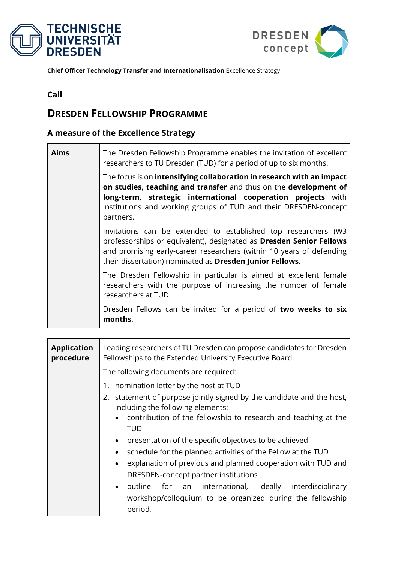



**Chief Officer Technology Transfer and Internationalisation** Excellence Strategy

## **Call**

## **DRESDEN FELLOWSHIP PROGRAMME**

## **A measure of the Excellence Strategy**

| Aims | The Dresden Fellowship Programme enables the invitation of excellent<br>researchers to TU Dresden (TUD) for a period of up to six months.                                                                                                                                                  |
|------|--------------------------------------------------------------------------------------------------------------------------------------------------------------------------------------------------------------------------------------------------------------------------------------------|
|      | The focus is on intensifying collaboration in research with an impact<br>on studies, teaching and transfer and thus on the development of<br>long-term, strategic international cooperation projects with<br>institutions and working groups of TUD and their DRESDEN-concept<br>partners. |
|      | Invitations can be extended to established top researchers (W3<br>professorships or equivalent), designated as Dresden Senior Fellows<br>and promising early-career researchers (within 10 years of defending<br>their dissertation) nominated as Dresden Junior Fellows.                  |
|      | The Dresden Fellowship in particular is aimed at excellent female<br>researchers with the purpose of increasing the number of female<br>researchers at TUD.                                                                                                                                |
|      | Dresden Fellows can be invited for a period of two weeks to six<br>months.                                                                                                                                                                                                                 |

| <b>Application</b><br>procedure | Leading researchers of TU Dresden can propose candidates for Dresden<br>Fellowships to the Extended University Executive Board.                                                                                                                                                                                                                                                   |  |  |  |  |  |
|---------------------------------|-----------------------------------------------------------------------------------------------------------------------------------------------------------------------------------------------------------------------------------------------------------------------------------------------------------------------------------------------------------------------------------|--|--|--|--|--|
|                                 | The following documents are required:                                                                                                                                                                                                                                                                                                                                             |  |  |  |  |  |
|                                 | nomination letter by the host at TUD<br>1.                                                                                                                                                                                                                                                                                                                                        |  |  |  |  |  |
|                                 | statement of purpose jointly signed by the candidate and the host,<br>2.<br>including the following elements:                                                                                                                                                                                                                                                                     |  |  |  |  |  |
|                                 | contribution of the fellowship to research and teaching at the<br><b>TUD</b>                                                                                                                                                                                                                                                                                                      |  |  |  |  |  |
|                                 | presentation of the specific objectives to be achieved<br>schedule for the planned activities of the Fellow at the TUD<br>explanation of previous and planned cooperation with TUD and<br>DRESDEN-concept partner institutions<br>for an international, ideally<br>$\bullet$ outline<br>interdisciplinary<br>workshop/colloquium to be organized during the fellowship<br>period, |  |  |  |  |  |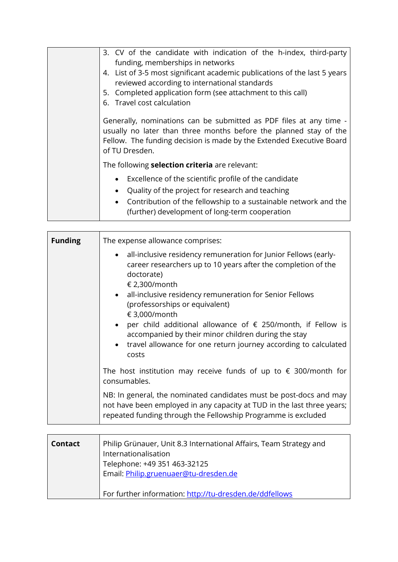| 3. CV of the candidate with indication of the h-index, third-party<br>funding, memberships in networks<br>4. List of 3-5 most significant academic publications of the last 5 years<br>reviewed according to international standards<br>5. Completed application form (see attachment to this call)<br>6. Travel cost calculation<br>Generally, nominations can be submitted as PDF files at any time -<br>usually no later than three months before the planned stay of the<br>Fellow. The funding decision is made by the Extended Executive Board<br>of TU Dresden. |  |  |  |
|------------------------------------------------------------------------------------------------------------------------------------------------------------------------------------------------------------------------------------------------------------------------------------------------------------------------------------------------------------------------------------------------------------------------------------------------------------------------------------------------------------------------------------------------------------------------|--|--|--|
| The following selection criteria are relevant:                                                                                                                                                                                                                                                                                                                                                                                                                                                                                                                         |  |  |  |
| Excellence of the scientific profile of the candidate<br>Quality of the project for research and teaching<br>Contribution of the fellowship to a sustainable network and the<br>(further) development of long-term cooperation                                                                                                                                                                                                                                                                                                                                         |  |  |  |

| <b>Funding</b> | The expense allowance comprises:                                                                                                                                                                                                                                                                                                                                                                                                                                                               |  |  |  |
|----------------|------------------------------------------------------------------------------------------------------------------------------------------------------------------------------------------------------------------------------------------------------------------------------------------------------------------------------------------------------------------------------------------------------------------------------------------------------------------------------------------------|--|--|--|
|                | all-inclusive residency remuneration for Junior Fellows (early-<br>career researchers up to 10 years after the completion of the<br>doctorate)<br>€ 2,300/month<br>• all-inclusive residency remuneration for Senior Fellows<br>(professorships or equivalent)<br>€ 3,000/month<br>• per child additional allowance of $\epsilon$ 250/month, if Fellow is<br>accompanied by their minor children during the stay<br>• travel allowance for one return journey according to calculated<br>costs |  |  |  |
|                | The host institution may receive funds of up to $\epsilon$ 300/month for<br>consumables.                                                                                                                                                                                                                                                                                                                                                                                                       |  |  |  |
|                | NB: In general, the nominated candidates must be post-docs and may<br>not have been employed in any capacity at TUD in the last three years;<br>repeated funding through the Fellowship Programme is excluded                                                                                                                                                                                                                                                                                  |  |  |  |

| <b>Contact</b> | Philip Grünauer, Unit 8.3 International Affairs, Team Strategy and<br>Internationalisation<br>Telephone: +49 351 463-32125<br>Email: Philip.gruenuaer@tu-dresden.de |
|----------------|---------------------------------------------------------------------------------------------------------------------------------------------------------------------|
|                | For further information: http://tu-dresden.de/ddfellows                                                                                                             |